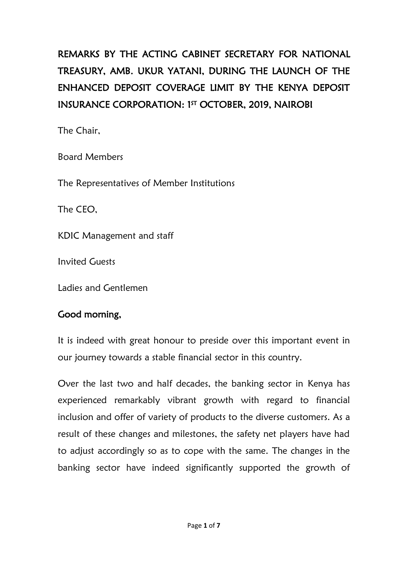# REMARKS BY THE ACTING CABINET SECRETARY FOR NATIONAL TREASURY, AMB. UKUR YATANI, DURING THE LAUNCH OF THE ENHANCED DEPOSIT COVERAGE LIMIT BY THE KENYA DEPOSIT INSURANCE CORPORATION: 1<sup>5T</sup> OCTOBER, 2019, NAIROBI

The Chair,

Board Members

The Representatives of Member Institutions

The CEO,

KDIC Management and staff

Invited Guests

Ladies and Gentlemen

## Good morning,

It is indeed with great honour to preside over this important event in our journey towards a stable financial sector in this country.

Over the last two and half decades, the banking sector in Kenya has experienced remarkably vibrant growth with regard to financial inclusion and offer of variety of products to the diverse customers. As a result of these changes and milestones, the safety net players have had to adjust accordingly so as to cope with the same. The changes in the banking sector have indeed significantly supported the growth of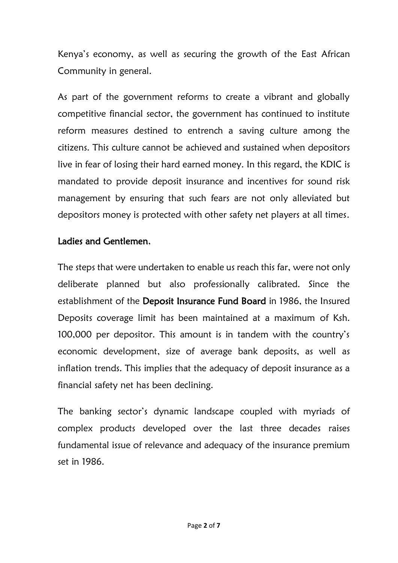Kenya's economy, as well as securing the growth of the East African Community in general.

As part of the government reforms to create a vibrant and globally competitive financial sector, the government has continued to institute reform measures destined to entrench a saving culture among the citizens. This culture cannot be achieved and sustained when depositors live in fear of losing their hard earned money. In this regard, the KDIC is mandated to provide deposit insurance and incentives for sound risk management by ensuring that such fears are not only alleviated but depositors money is protected with other safety net players at all times.

#### Ladies and Gentlemen,

The steps that were undertaken to enable us reach this far, were not only deliberate planned but also professionally calibrated. Since the establishment of the Deposit Insurance Fund Board in 1986, the Insured Deposits coverage limit has been maintained at a maximum of Ksh. 100,000 per depositor. This amount is in tandem with the country's economic development, size of average bank deposits, as well as inflation trends. This implies that the adequacy of deposit insurance as a financial safety net has been declining.

The banking sector's dynamic landscape coupled with myriads of complex products developed over the last three decades raises fundamental issue of relevance and adequacy of the insurance premium set in 1986.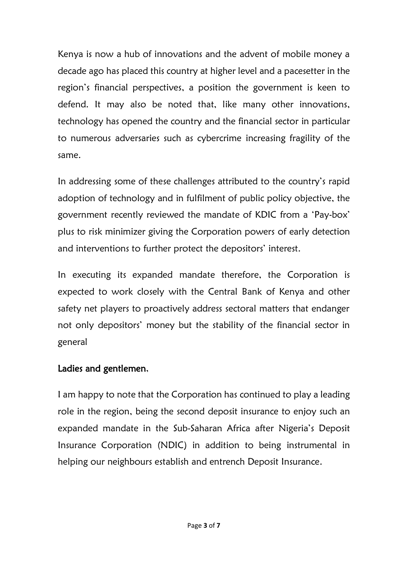Kenya is now a hub of innovations and the advent of mobile money a decade ago has placed this country at higher level and a pacesetter in the region's financial perspectives, a position the government is keen to defend. It may also be noted that, like many other innovations, technology has opened the country and the financial sector in particular to numerous adversaries such as cybercrime increasing fragility of the same.

In addressing some of these challenges attributed to the country's rapid adoption of technology and in fulfilment of public policy objective, the government recently reviewed the mandate of KDIC from a 'Pay-box' plus to risk minimizer giving the Corporation powers of early detection and interventions to further protect the depositors' interest.

In executing its expanded mandate therefore, the Corporation is expected to work closely with the Central Bank of Kenya and other safety net players to proactively address sectoral matters that endanger not only depositors' money but the stability of the financial sector in general

#### Ladies and gentlemen,

I am happy to note that the Corporation has continued to play a leading role in the region, being the second deposit insurance to enjoy such an expanded mandate in the Sub-Saharan Africa after Nigeria's Deposit Insurance Corporation (NDIC) in addition to being instrumental in helping our neighbours establish and entrench Deposit Insurance.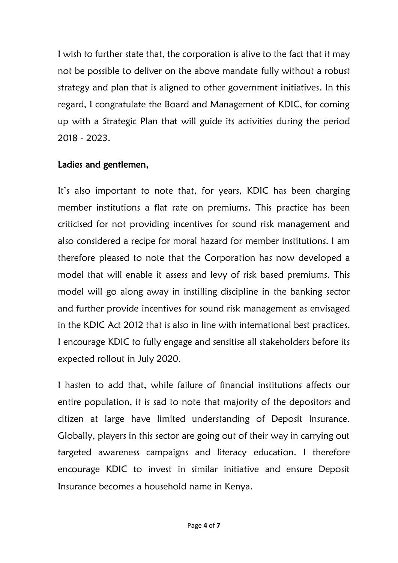I wish to further state that, the corporation is alive to the fact that it may not be possible to deliver on the above mandate fully without a robust strategy and plan that is aligned to other government initiatives. In this regard, I congratulate the Board and Management of KDIC, for coming up with a Strategic Plan that will guide its activities during the period 2018 - 2023.

### Ladies and gentlemen,

It's also important to note that, for years, KDIC has been charging member institutions a flat rate on premiums. This practice has been criticised for not providing incentives for sound risk management and also considered a recipe for moral hazard for member institutions. I am therefore pleased to note that the Corporation has now developed a model that will enable it assess and levy of risk based premiums. This model will go along away in instilling discipline in the banking sector and further provide incentives for sound risk management as envisaged in the KDIC Act 2012 that is also in line with international best practices. I encourage KDIC to fully engage and sensitise all stakeholders before its expected rollout in July 2020.

I hasten to add that, while failure of financial institutions affects our entire population, it is sad to note that majority of the depositors and citizen at large have limited understanding of Deposit Insurance. Globally, players in this sector are going out of their way in carrying out targeted awareness campaigns and literacy education. I therefore encourage KDIC to invest in similar initiative and ensure Deposit Insurance becomes a household name in Kenya.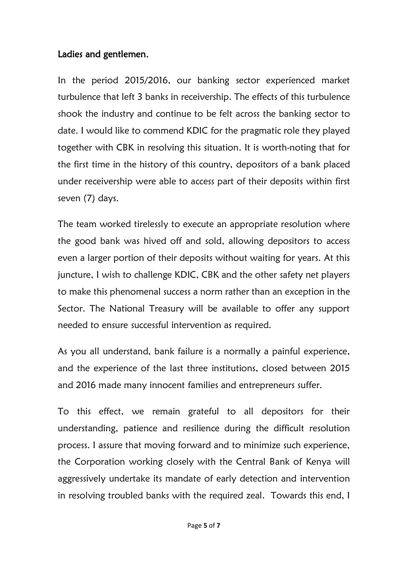#### Ladies and gentlemen,

In the period 2015/2016, our banking sector experienced market turbulence that left 3 banks in receivership. The effects of this turbulence shook the industry and continue to be felt across the banking sector to date. I would like to commend KDIC for the pragmatic role they played together with CBK in resolving this situation. It is worth-noting that for the first time in the history of this country, depositors of a bank placed under receivership were able to access part of their deposits within first seven (7) days.

The team worked tirelessly to execute an appropriate resolution where the good bank was hived off and sold, allowing depositors to access even a larger portion of their deposits without waiting for years. At this juncture, I wish to challenge KDIC, CBK and the other safety net players to make this phenomenal success a norm rather than an exception in the Sector. The National Treasury will be available to offer any support needed to ensure successful intervention as required.

As you all understand, bank failure is a normally a painful experience, and the experience of the last three institutions, closed between 2015 and 2016 made many innocent families and entrepreneurs suffer.

To this effect, we remain grateful to all depositors for their understanding, patience and resilience during the difficult resolution process. I assure that moving forward and to minimize such experience, the Corporation working closely with the Central Bank of Kenya will aggressively undertake its mandate of early detection and intervention in resolving troubled banks with the required zeal. Towards this end, I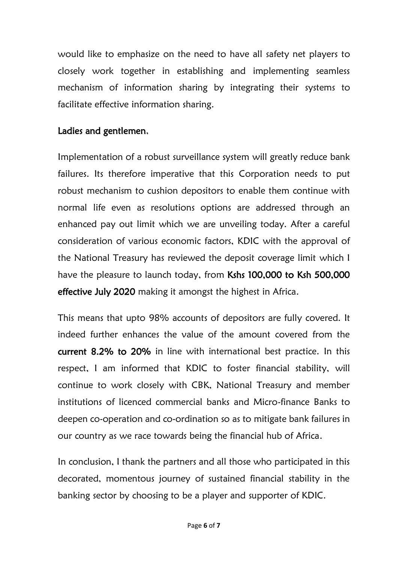would like to emphasize on the need to have all safety net players to closely work together in establishing and implementing seamless mechanism of information sharing by integrating their systems to facilitate effective information sharing.

#### Ladies and gentlemen,

Implementation of a robust surveillance system will greatly reduce bank failures. Its therefore imperative that this Corporation needs to put robust mechanism to cushion depositors to enable them continue with normal life even as resolutions options are addressed through an enhanced pay out limit which we are unveiling today. After a careful consideration of various economic factors, KDIC with the approval of the National Treasury has reviewed the deposit coverage limit which I have the pleasure to launch today, from Kshs 100,000 to Ksh 500,000 effective July 2020 making it amongst the highest in Africa.

This means that upto 98% accounts of depositors are fully covered. It indeed further enhances the value of the amount covered from the current 8.2% to 20% in line with international best practice. In this respect, I am informed that KDIC to foster financial stability, will continue to work closely with CBK, National Treasury and member institutions of licenced commercial banks and Micro-finance Banks to deepen co-operation and co-ordination so as to mitigate bank failures in our country as we race towards being the financial hub of Africa.

In conclusion, I thank the partners and all those who participated in this decorated, momentous journey of sustained financial stability in the banking sector by choosing to be a player and supporter of KDIC.